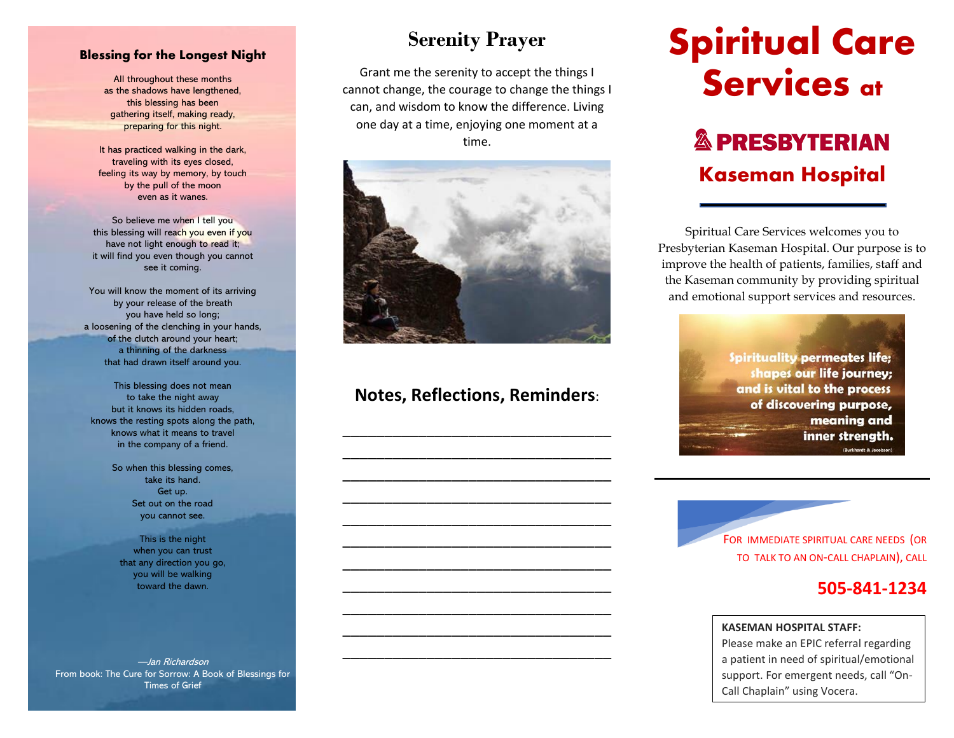#### **Blessing for the Longest Night**

All throughout these months as the shadows have lengthened, this blessing has been gathering itself, making ready, preparing for this night.

It has practiced walking in the dark, traveling with its eyes closed, feeling its way by memory, by touch by the pull of the moon even as it wanes.

So believe me when I tell you this blessing will reach you even if you have not light enough to read it; it will find you even though you cannot see it coming.

You will know the moment of its arriving by your release of the breath you have held so long; a loosening of the clenching in your hands, of the clutch around your heart; a thinning of the darkness that had drawn itself around you.

This blessing does not mean to take the night away but it knows its hidden roads, knows the resting spots along the path, knows what it means to travel in the company of a friend.

> So when this blessing comes, take its hand. Get up. Set out on the road you cannot see.

This is the night when you can trust that any direction you go, you will be walking toward the dawn.

—Jan Richardson From book: The Cure for Sorrow: A Book of Blessings for Times of Grief

## **Serenity Prayer**

Grant me the serenity to accept the things I cannot change, the courage to change the things I can, and wisdom to know the difference. Living one day at a time, enjoying one moment at a time.



## **Notes, Reflections, Reminders**:

\_\_\_\_\_\_\_\_\_\_\_\_\_\_\_\_\_\_\_\_\_\_\_\_\_\_\_\_\_\_\_\_ \_\_\_\_\_\_\_\_\_\_\_\_\_\_\_\_\_\_\_\_\_\_\_\_\_\_\_\_\_\_\_\_ \_\_\_\_\_\_\_\_\_\_\_\_\_\_\_\_\_\_\_\_\_\_\_\_\_\_\_\_\_\_\_\_ \_\_\_\_\_\_\_\_\_\_\_\_\_\_\_\_\_\_\_\_\_\_\_\_\_\_\_\_\_\_\_\_ \_\_\_\_\_\_\_\_\_\_\_\_\_\_\_\_\_\_\_\_\_\_\_\_\_\_\_\_\_\_\_\_ \_\_\_\_\_\_\_\_\_\_\_\_\_\_\_\_\_\_\_\_\_\_\_\_\_\_\_\_\_\_\_\_ \_\_\_\_\_\_\_\_\_\_\_\_\_\_\_\_\_\_\_\_\_\_\_\_\_\_\_\_\_\_\_\_ \_\_\_\_\_\_\_\_\_\_\_\_\_\_\_\_\_\_\_\_\_\_\_\_\_\_\_\_\_\_\_\_ \_\_\_\_\_\_\_\_\_\_\_\_\_\_\_\_\_\_\_\_\_\_\_\_\_\_\_\_\_\_\_\_ \_\_\_\_\_\_\_\_\_\_\_\_\_\_\_\_\_\_\_\_\_\_\_\_\_\_\_\_\_\_\_\_ \_\_\_\_\_\_\_\_\_\_\_\_\_\_\_\_\_\_\_\_\_\_\_\_\_\_\_\_\_\_\_\_

# **Spiritual Care Services at**

## **& PRESBYTERIAN Kaseman Hospital**

Spiritual Care Services welcomes you to Presbyterian Kaseman Hospital. Our purpose is to improve the health of patients, families, staff and the Kaseman community by providing spiritual and emotional support services and resources.

> **Spirituality permeates life;** shapes our life journey; and is vital to the process of discovering purpose, meaning and inner strength. (Burkhardt & Jacobson)



## **505-841-1234**

#### **KASEMAN HOSPITAL STAFF:**

Please make an EPIC referral regarding a patient in need of spiritual/emotional support. For emergent needs, call "On-Call Chaplain" using Vocera.